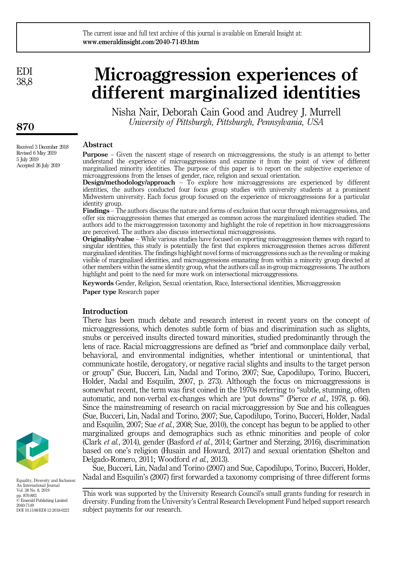EDI 38,8

870

Received 3 December 2018 Revised 6 May 2019 5 July 2019 Accepted 26 July 2019

# Microaggression experiences of different marginalized identities

Nisha Nair, Deborah Cain Good and Audrey J. Murrell University of Pittsburgh, Pittsburgh, Pennsylvania, USA

## Abstract

Purpose – Given the nascent stage of research on microaggressions, the study is an attempt to better understand the experience of microaggressions and examine it from the point of view of different marginalized minority identities. The purpose of this paper is to report on the subjective experience of microaggressions from the lenses of gender, race, religion and sexual orientation.

Design/methodology/approach – To explore how microaggressions are experienced by different identities, the authors conducted four focus group studies with university students at a prominent Midwestern university. Each focus group focused on the experience of microaggressions for a particular identity group.

Findings – The authors discuss the nature and forms of exclusion that occur through microaggressions, and offer six microaggression themes that emerged as common across the marginalized identities studied. The authors add to the microaggression taxonomy and highlight the role of repetition in how microaggressions are perceived. The authors also discuss intersectional microaggressions.

Originality/value – While various studies have focused on reporting microaggression themes with regard to singular identities, this study is potentially the first that explores microaggression themes across different marginalized identities. The findings highlight novel forms of microaggressions such as the revealing or making visible of marginalized identities, and microaggressions emanating from within a minority group directed at other members within the same identity group, what the authors call as in-group microaggressions. The authors highlight and point to the need for more work on intersectional microaggressions.

Keywords Gender, Religion, Sexual orientation, Race, Intersectional identities, Microaggression

Paper type Research paper

## Introduction

There has been much debate and research interest in recent years on the concept of microaggressions, which denotes subtle form of bias and discrimination such as slights, snubs or perceived insults directed toward minorities, studied predominantly through the lens of race. Racial microaggressions are defined as "brief and commonplace daily verbal, behavioral, and environmental indignities, whether intentional or unintentional, that communicate hostile, derogatory, or negative racial slights and insults to the target person or group" (Sue, Bucceri, Lin, Nadal and Torino, 2007; Sue, Capodilupo, Torino, Bucceri, Holder, Nadal and Esquilin, 2007, p. 273). Although the focus on microaggressions is somewhat recent, the term was first coined in the 1970s referring to "subtle, stunning, often automatic, and non-verbal ex-changes which are 'put downs'" (Pierce et al., 1978, p. 66). Since the mainstreaming of research on racial microaggression by Sue and his colleagues (Sue, Bucceri, Lin, Nadal and Torino, 2007; Sue, Capodilupo, Torino, Bucceri, Holder, Nadal and Esquilin, 2007; Sue et al., 2008; Sue, 2010), the concept has begun to be applied to other marginalized groups and demographics such as ethnic minorities and people of color (Clark et al., 2014), gender (Basford et al., 2014; Gartner and Sterzing, 2016), discrimination based on one's religion (Husain and Howard, 2017) and sexual orientation (Shelton and Delgado-Romero, 2011; Woodford et al., 2013).

Sue, Bucceri, Lin, Nadal and Torino (2007) and Sue, Capodilupo, Torino, Bucceri, Holder,  $E_{\text{quality, Diversity and Inclusion:}}$  Nadal and Esquilin's (2007) first forwarded a taxonomy comprising of three different forms

> This work was supported by the University Research Council's small grants funding for research in diversity. Funding from the University's Central Research Development Fund helped support research subject payments for our research.



An International Journal Vol. 38 No. 8, 2019 pp. 870-883 © Emerald Publishing Limited 2040-7149 DOI 10.1108/EDI-12-2018-0221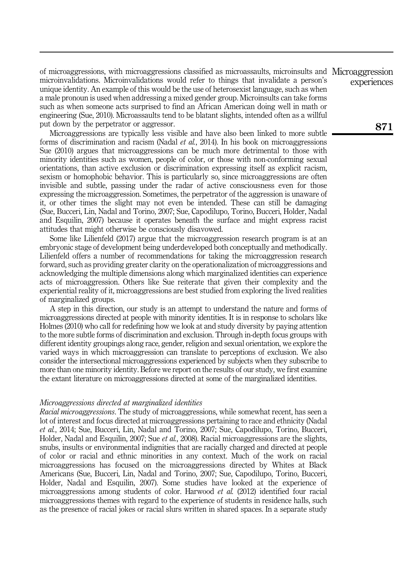of microaggressions, with microaggressions classified as microassaults, microinsults and Microaggression microinvalidations. Microinvalidations would refer to things that invalidate a person's unique identity. An example of this would be the use of heterosexist language, such as when a male pronoun is used when addressing a mixed gender group. Microinsults can take forms such as when someone acts surprised to find an African American doing well in math or engineering (Sue, 2010). Microassaults tend to be blatant slights, intended often as a willful put down by the perpetrator or aggressor.

Microaggressions are typically less visible and have also been linked to more subtle forms of discrimination and racism (Nadal *et al.*, 2014). In his book on microaggressions Sue (2010) argues that microaggressions can be much more detrimental to those with minority identities such as women, people of color, or those with non-conforming sexual orientations, than active exclusion or discrimination expressing itself as explicit racism, sexism or homophobic behavior. This is particularly so, since microaggressions are often invisible and subtle, passing under the radar of active consciousness even for those expressing the microaggression. Sometimes, the perpetrator of the aggression is unaware of it, or other times the slight may not even be intended. These can still be damaging (Sue, Bucceri, Lin, Nadal and Torino, 2007; Sue, Capodilupo, Torino, Bucceri, Holder, Nadal and Esquilin, 2007) because it operates beneath the surface and might express racist attitudes that might otherwise be consciously disavowed.

Some like Lilienfeld (2017) argue that the microaggression research program is at an embryonic stage of development being underdeveloped both conceptually and methodically. Lilienfeld offers a number of recommendations for taking the microaggression research forward, such as providing greater clarity on the operationalization of microaggressions and acknowledging the multiple dimensions along which marginalized identities can experience acts of microaggression. Others like Sue reiterate that given their complexity and the experiential reality of it, microaggressions are best studied from exploring the lived realities of marginalized groups.

A step in this direction, our study is an attempt to understand the nature and forms of microaggressions directed at people with minority identities. It is in response to scholars like Holmes (2010) who call for redefining how we look at and study diversity by paying attention to the more subtle forms of discrimination and exclusion. Through in-depth focus groups with different identity groupings along race, gender, religion and sexual orientation, we explore the varied ways in which microaggression can translate to perceptions of exclusion. We also consider the intersectional microaggressions experienced by subjects when they subscribe to more than one minority identity. Before we report on the results of our study, we first examine the extant literature on microaggressions directed at some of the marginalized identities.

## Microaggressions directed at marginalized identities

Racial microaggressions. The study of microaggressions, while somewhat recent, has seen a lot of interest and focus directed at microaggressions pertaining to race and ethnicity (Nadal et al., 2014; Sue, Bucceri, Lin, Nadal and Torino, 2007; Sue, Capodilupo, Torino, Bucceri, Holder, Nadal and Esquilin, 2007; Sue et al., 2008). Racial microaggressions are the slights, snubs, insults or environmental indignities that are racially charged and directed at people of color or racial and ethnic minorities in any context. Much of the work on racial microaggressions has focused on the microaggressions directed by Whites at Black Americans (Sue, Bucceri, Lin, Nadal and Torino, 2007; Sue, Capodilupo, Torino, Bucceri, Holder, Nadal and Esquilin, 2007). Some studies have looked at the experience of microaggressions among students of color. Harwood *et al.* (2012) identified four racial microaggressions themes with regard to the experience of students in residence halls, such as the presence of racial jokes or racial slurs written in shared spaces. In a separate study

experiences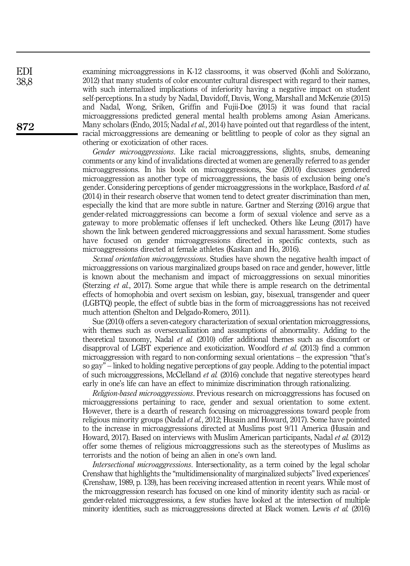examining microaggressions in K-12 classrooms, it was observed (Kohli and Solórzano, 2012) that many students of color encounter cultural disrespect with regard to their names, with such internalized implications of inferiority having a negative impact on student self-perceptions. In a study by Nadal, Davidoff, Davis, Wong, Marshall and McKenzie (2015) and Nadal, Wong, Sriken, Griffin and Fujii-Doe (2015) it was found that racial microaggressions predicted general mental health problems among Asian Americans. Many scholars (Endo, 2015; Nadal *et al.*, 2014) have pointed out that regardless of the intent, racial microaggressions are demeaning or belittling to people of color as they signal an othering or exoticization of other races.

Gender microaggressions. Like racial microaggressions, slights, snubs, demeaning comments or any kind of invalidations directed at women are generally referred to as gender microaggressions. In his book on microaggressions, Sue (2010) discusses gendered microaggression as another type of microaggressions, the basis of exclusion being one's gender. Considering perceptions of gender microaggressions in the workplace, Basford et al. (2014) in their research observe that women tend to detect greater discrimination than men, especially the kind that are more subtle in nature. Gartner and Sterzing (2016) argue that gender-related microaggressions can become a form of sexual violence and serve as a gateway to more problematic offenses if left unchecked. Others like Leung (2017) have shown the link between gendered microaggressions and sexual harassment. Some studies have focused on gender microaggressions directed in specific contexts, such as microaggressions directed at female athletes (Kaskan and Ho, 2016).

Sexual orientation microaggressions. Studies have shown the negative health impact of microaggressions on various marginalized groups based on race and gender, however, little is known about the mechanism and impact of microaggressions on sexual minorities (Sterzing et al., 2017). Some argue that while there is ample research on the detrimental effects of homophobia and overt sexism on lesbian, gay, bisexual, transgender and queer (LGBTQ) people, the effect of subtle bias in the form of microaggressions has not received much attention (Shelton and Delgado-Romero, 2011).

Sue (2010) offers a seven-category characterization of sexual orientation microaggressions, with themes such as oversexualization and assumptions of abnormality. Adding to the theoretical taxonomy, Nadal et al. (2010) offer additional themes such as discomfort or disapproval of LGBT experience and exoticization. Woodford et al. (2013) find a common microaggression with regard to non-conforming sexual orientations – the expression "that's so gay" – linked to holding negative perceptions of gay people. Adding to the potential impact of such microaggressions, McClelland et al. (2016) conclude that negative stereotypes heard early in one's life can have an effect to minimize discrimination through rationalizing.

Religion-based microaggressions. Previous research on microaggressions has focused on microaggressions pertaining to race, gender and sexual orientation to some extent. However, there is a dearth of research focusing on microaggressions toward people from religious minority groups (Nadal et al., 2012; Husain and Howard, 2017). Some have pointed to the increase in microaggressions directed at Muslims post 9/11 America (Husain and Howard, 2017). Based on interviews with Muslim American participants, Nadal et al. (2012) offer some themes of religious microaggressions such as the stereotypes of Muslims as terrorists and the notion of being an alien in one's own land.

Intersectional microaggressions. Intersectionality, as a term coined by the legal scholar Crenshaw that highlights the "multidimensionality of marginalized subjects" lived experiences' (Crenshaw, 1989, p. 139), has been receiving increased attention in recent years. While most of the microaggression research has focused on one kind of minority identity such as racial- or gender-related microaggressions, a few studies have looked at the intersection of multiple minority identities, such as microaggressions directed at Black women. Lewis et al. (2016)

872

EDI 38,8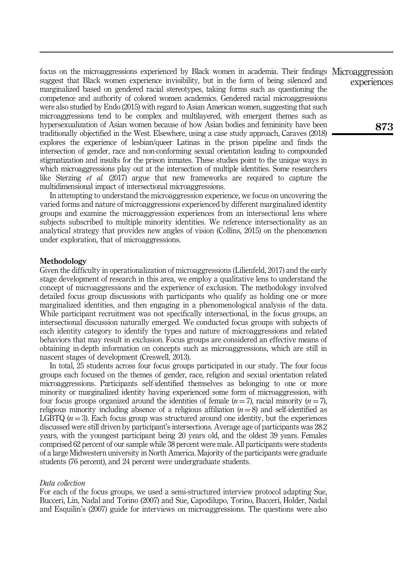focus on the microaggressions experienced by Black women in academia. Their findings Microaggression suggest that Black women experience invisibility, but in the form of being silenced and marginalized based on gendered racial stereotypes, taking forms such as questioning the competence and authority of colored women academics. Gendered racial microaggressions were also studied by Endo (2015) with regard to Asian American women, suggesting that such microaggressions tend to be complex and multilayered, with emergent themes such as hypersexualization of Asian women because of how Asian bodies and femininity have been traditionally objectified in the West. Elsewhere, using a case study approach, Caraves (2018) explores the experience of lesbian/queer Latinas in the prison pipeline and finds the intersection of gender, race and non-conforming sexual orientation leading to compounded stigmatization and insults for the prison inmates. These studies point to the unique ways in which microaggressions play out at the intersection of multiple identities. Some researchers like Sterzing *et al.* (2017) argue that new frameworks are required to capture the multidimensional impact of intersectional microaggressions.

In attempting to understand the microaggression experience, we focus on uncovering the varied forms and nature of microaggressions experienced by different marginalized identity groups and examine the microaggression experiences from an intersectional lens where subjects subscribed to multiple minority identities. We reference intersectionality as an analytical strategy that provides new angles of vision (Collins, 2015) on the phenomenon under exploration, that of microaggressions.

## Methodology

Given the difficulty in operationalization of microaggressions (Lilienfeld, 2017) and the early stage development of research in this area, we employ a qualitative lens to understand the concept of microaggressions and the experience of exclusion. The methodology involved detailed focus group discussions with participants who qualify as holding one or more marginalized identities, and then engaging in a phenomenological analysis of the data. While participant recruitment was not specifically intersectional, in the focus groups, an intersectional discussion naturally emerged. We conducted focus groups with subjects of each identity category to identify the types and nature of microaggressions and related behaviors that may result in exclusion. Focus groups are considered an effective means of obtaining in-depth information on concepts such as microaggressions, which are still in nascent stages of development (Creswell, 2013).

In total, 25 students across four focus groups participated in our study. The four focus groups each focused on the themes of gender, race, religion and sexual orientation related microaggressions. Participants self-identified themselves as belonging to one or more minority or marginalized identity having experienced some form of microaggression, with four focus groups organized around the identities of female  $(n = 7)$ , racial minority  $(n = 7)$ , religious minority including absence of a religious affiliation  $(n = 8)$  and self-identified as LGBTQ  $(n = 3)$ . Each focus group was structured around one identity, but the experiences discussed were still driven by participant's intersections. Average age of participants was 28.2 years, with the youngest participant being 20 years old, and the oldest 39 years. Females comprised 62 percent of our sample while 38 percent were male. All participants were students of a large Midwestern university in North America. Majority of the participants were graduate students (76 percent), and 24 percent were undergraduate students.

## Data collection

For each of the focus groups, we used a semi-structured interview protocol adapting Sue, Bucceri, Lin, Nadal and Torino (2007) and Sue, Capodilupo, Torino, Bucceri, Holder, Nadal and Esquilin's (2007) guide for interviews on microaggressions. The questions were also

experiences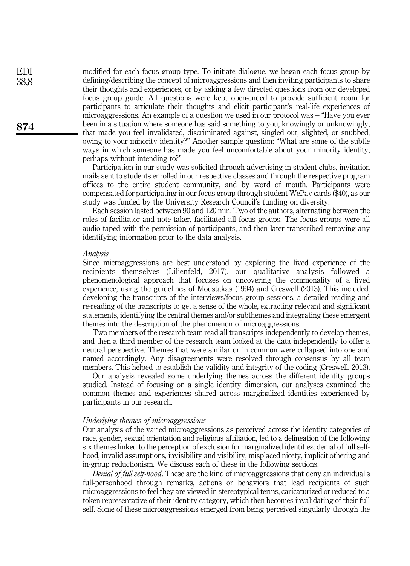modified for each focus group type. To initiate dialogue, we began each focus group by defining/describing the concept of microaggressions and then inviting participants to share their thoughts and experiences, or by asking a few directed questions from our developed focus group guide. All questions were kept open-ended to provide sufficient room for participants to articulate their thoughts and elicit participant's real-life experiences of microaggressions. An example of a question we used in our protocol was – "Have you ever been in a situation where someone has said something to you, knowingly or unknowingly, that made you feel invalidated, discriminated against, singled out, slighted, or snubbed, owing to your minority identity?" Another sample question: "What are some of the subtle ways in which someone has made you feel uncomfortable about your minority identity, perhaps without intending to?"

Participation in our study was solicited through advertising in student clubs, invitation mails sent to students enrolled in our respective classes and through the respective program offices to the entire student community, and by word of mouth. Participants were compensated for participating in our focus group through student WePay cards (\$40), as our study was funded by the University Research Council's funding on diversity.

Each session lasted between 90 and 120 min. Two of the authors, alternating between the roles of facilitator and note taker, facilitated all focus groups. The focus groups were all audio taped with the permission of participants, and then later transcribed removing any identifying information prior to the data analysis.

#### Analysis

Since microaggressions are best understood by exploring the lived experience of the recipients themselves (Lilienfeld, 2017), our qualitative analysis followed a phenomenological approach that focuses on uncovering the commonality of a lived experience, using the guidelines of Moustakas (1994) and Creswell (2013). This included: developing the transcripts of the interviews/focus group sessions, a detailed reading and re-reading of the transcripts to get a sense of the whole, extracting relevant and significant statements, identifying the central themes and/or subthemes and integrating these emergent themes into the description of the phenomenon of microaggressions.

Two members of the research team read all transcripts independently to develop themes, and then a third member of the research team looked at the data independently to offer a neutral perspective. Themes that were similar or in common were collapsed into one and named accordingly. Any disagreements were resolved through consensus by all team members. This helped to establish the validity and integrity of the coding (Creswell, 2013).

Our analysis revealed some underlying themes across the different identity groups studied. Instead of focusing on a single identity dimension, our analyses examined the common themes and experiences shared across marginalized identities experienced by participants in our research.

## Underlying themes of microaggressions

Our analysis of the varied microaggressions as perceived across the identity categories of race, gender, sexual orientation and religious affiliation, led to a delineation of the following six themes linked to the perception of exclusion for marginalized identities: denial of full selfhood, invalid assumptions, invisibility and visibility, misplaced nicety, implicit othering and in-group reductionism. We discuss each of these in the following sections.

Denial of full self-hood. These are the kind of microaggressions that deny an individual's full-personhood through remarks, actions or behaviors that lead recipients of such microaggressions to feel they are viewed in stereotypical terms, caricaturized or reduced to a token representative of their identity category, which then becomes invalidating of their full self. Some of these microaggressions emerged from being perceived singularly through the

874

EDI 38,8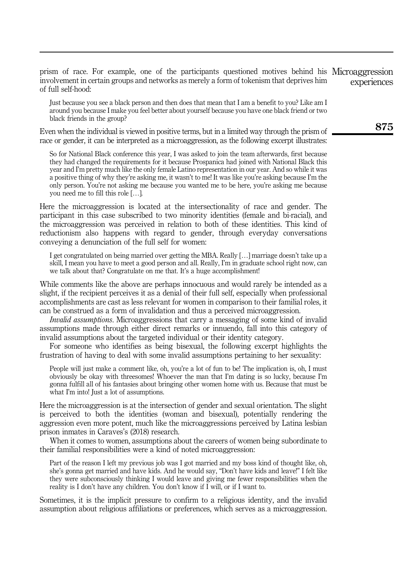prism of race. For example, one of the participants questioned motives behind his Microaggression involvement in certain groups and networks as merely a form of tokenism that deprives him of full self-hood: experiences

Just because you see a black person and then does that mean that I am a benefit to you? Like am I around you because I make you feel better about yourself because you have one black friend or two black friends in the group?

Even when the individual is viewed in positive terms, but in a limited way through the prism of race or gender, it can be interpreted as a microaggression, as the following excerpt illustrates:

So for National Black conference this year, I was asked to join the team afterwards, first because they had changed the requirements for it because Prospanica had joined with National Black this year and I'm pretty much like the only female Latino representation in our year. And so while it was a positive thing of why they're asking me, it wasn't to me! It was like you're asking because I'm the only person. You're not asking me because you wanted me to be here, you're asking me because you need me to fill this role […].

Here the microaggression is located at the intersectionality of race and gender. The participant in this case subscribed to two minority identities (female and bi-racial), and the microaggression was perceived in relation to both of these identities. This kind of reductionism also happens with regard to gender, through everyday conversations conveying a denunciation of the full self for women:

I get congratulated on being married over getting the MBA. Really […] marriage doesn't take up a skill, I mean you have to meet a good person and all. Really, I'm in graduate school right now, can we talk about that? Congratulate on me that. It's a huge accomplishment!

While comments like the above are perhaps innocuous and would rarely be intended as a slight, if the recipient perceives it as a denial of their full self, especially when professional accomplishments are cast as less relevant for women in comparison to their familial roles, it can be construed as a form of invalidation and thus a perceived microaggression.

Invalid assumptions. Microaggressions that carry a messaging of some kind of invalid assumptions made through either direct remarks or innuendo, fall into this category of invalid assumptions about the targeted individual or their identity category.

For someone who identifies as being bisexual, the following excerpt highlights the frustration of having to deal with some invalid assumptions pertaining to her sexuality:

People will just make a comment like, oh, you're a lot of fun to be! The implication is, oh, I must obviously be okay with threesomes! Whoever the man that I'm dating is so lucky, because I'm gonna fulfill all of his fantasies about bringing other women home with us. Because that must be what I'm into! Just a lot of assumptions.

Here the microaggression is at the intersection of gender and sexual orientation. The slight is perceived to both the identities (woman and bisexual), potentially rendering the aggression even more potent, much like the microaggressions perceived by Latina lesbian prison inmates in Caraves's (2018) research.

When it comes to women, assumptions about the careers of women being subordinate to their familial responsibilities were a kind of noted microaggression:

Part of the reason I left my previous job was I got married and my boss kind of thought like, oh, she's gonna get married and have kids. And he would say, "Don't have kids and leave!" I felt like they were subconsciously thinking I would leave and giving me fewer responsibilities when the reality is I don't have any children. You don't know if I will, or if I want to.

Sometimes, it is the implicit pressure to confirm to a religious identity, and the invalid assumption about religious affiliations or preferences, which serves as a microaggression.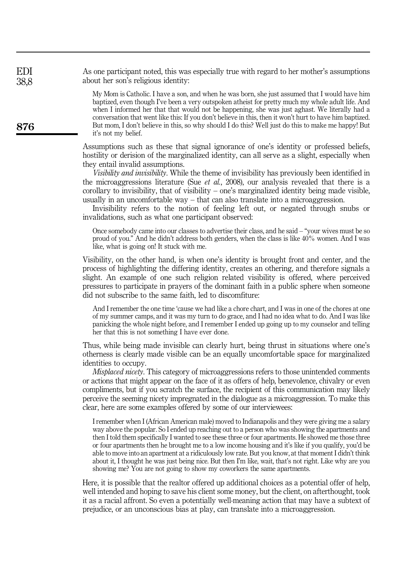As one participant noted, this was especially true with regard to her mother's assumptions about her son's religious identity: EDI 38,8

> My Mom is Catholic. I have a son, and when he was born, she just assumed that I would have him baptized, even though I've been a very outspoken atheist for pretty much my whole adult life. And when I informed her that that would not be happening, she was just aghast. We literally had a conversation that went like this: If you don't believe in this, then it won't hurt to have him baptized. But mom, I don't believe in this, so why should I do this? Well just do this to make me happy! But it's not my belief.

Assumptions such as these that signal ignorance of one's identity or professed beliefs, hostility or derision of the marginalized identity, can all serve as a slight, especially when they entail invalid assumptions.

Visibility and invisibility. While the theme of invisibility has previously been identified in the microaggressions literature (Sue  $et$  al., 2008), our analysis revealed that there is a corollary to invisibility, that of visibility – one's marginalized identity being made visible, usually in an uncomfortable way – that can also translate into a microaggression.

Invisibility refers to the notion of feeling left out, or negated through snubs or invalidations, such as what one participant observed:

Once somebody came into our classes to advertise their class, and he said – "your wives must be so proud of you." And he didn't address both genders, when the class is like 40% women. And I was like, what is going on! It stuck with me.

Visibility, on the other hand, is when one's identity is brought front and center, and the process of highlighting the differing identity, creates an othering, and therefore signals a slight. An example of one such religion related visibility is offered, where perceived pressures to participate in prayers of the dominant faith in a public sphere when someone did not subscribe to the same faith, led to discomfiture:

And I remember the one time 'cause we had like a chore chart, and I was in one of the chores at one of my summer camps, and it was my turn to do grace, and I had no idea what to do. And I was like panicking the whole night before, and I remember I ended up going up to my counselor and telling her that this is not something I have ever done.

Thus, while being made invisible can clearly hurt, being thrust in situations where one's otherness is clearly made visible can be an equally uncomfortable space for marginalized identities to occupy.

Misplaced nicety. This category of microaggressions refers to those unintended comments or actions that might appear on the face of it as offers of help, benevolence, chivalry or even compliments, but if you scratch the surface, the recipient of this communication may likely perceive the seeming nicety impregnated in the dialogue as a microaggression. To make this clear, here are some examples offered by some of our interviewees:

I remember when I (African American male) moved to Indianapolis and they were giving me a salary way above the popular. So I ended up reaching out to a person who was showing the apartments and then I told them specifically I wanted to see these three or four apartments. He showed me those three or four apartments then he brought me to a low income housing and it's like if you qualify, you'd be able to move into an apartment at a ridiculously low rate. But you know, at that moment I didn't think about it, I thought he was just being nice. But then I'm like, wait, that's not right. Like why are you showing me? You are not going to show my coworkers the same apartments.

Here, it is possible that the realtor offered up additional choices as a potential offer of help, well intended and hoping to save his client some money, but the client, on afterthought, took it as a racial affront. So even a potentially well-meaning action that may have a subtext of prejudice, or an unconscious bias at play, can translate into a microaggression.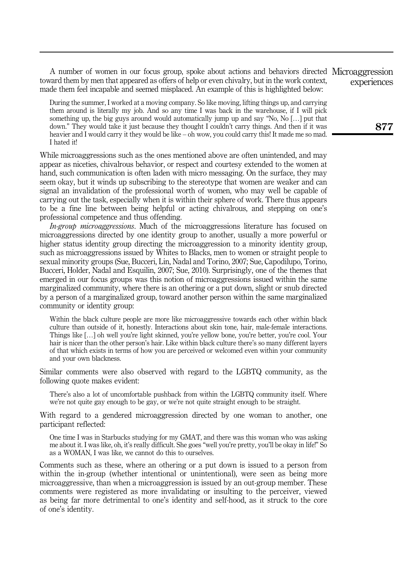A number of women in our focus group, spoke about actions and behaviors directed Microaggression toward them by men that appeared as offers of help or even chivalry, but in the work context, made them feel incapable and seemed misplaced. An example of this is highlighted below: experiences

During the summer, I worked at a moving company. So like moving, lifting things up, and carrying them around is literally my job. And so any time I was back in the warehouse, if I will pick something up, the big guys around would automatically jump up and say "No, No […] put that down." They would take it just because they thought I couldn't carry things. And then if it was heavier and I would carry it they would be like – oh wow, you could carry this! It made me so mad. I hated it!

While microaggressions such as the ones mentioned above are often unintended, and may appear as niceties, chivalrous behavior, or respect and courtesy extended to the women at hand, such communication is often laden with micro messaging. On the surface, they may seem okay, but it winds up subscribing to the stereotype that women are weaker and can signal an invalidation of the professional worth of women, who may well be capable of carrying out the task, especially when it is within their sphere of work. There thus appears to be a fine line between being helpful or acting chivalrous, and stepping on one's professional competence and thus offending.

In-group microaggressions. Much of the microaggressions literature has focused on microaggressions directed by one identity group to another, usually a more powerful or higher status identity group directing the microaggression to a minority identity group, such as microaggressions issued by Whites to Blacks, men to women or straight people to sexual minority groups (Sue, Bucceri, Lin, Nadal and Torino, 2007; Sue, Capodilupo, Torino, Bucceri, Holder, Nadal and Esquilin, 2007; Sue, 2010). Surprisingly, one of the themes that emerged in our focus groups was this notion of microaggressions issued within the same marginalized community, where there is an othering or a put down, slight or snub directed by a person of a marginalized group, toward another person within the same marginalized community or identity group:

Within the black culture people are more like microaggressive towards each other within black culture than outside of it, honestly. Interactions about skin tone, hair, male-female interactions. Things like […] oh well you're light skinned, you're yellow bone, you're better, you're cool. Your hair is nicer than the other person's hair. Like within black culture there's so many different layers of that which exists in terms of how you are perceived or welcomed even within your community and your own blackness.

Similar comments were also observed with regard to the LGBTQ community, as the following quote makes evident:

There's also a lot of uncomfortable pushback from within the LGBTQ community itself. Where we're not quite gay enough to be gay, or we're not quite straight enough to be straight.

With regard to a gendered microaggression directed by one woman to another, one participant reflected:

One time I was in Starbucks studying for my GMAT, and there was this woman who was asking me about it. I was like, oh, it's really difficult. She goes "well you're pretty, you'll be okay in life!" So as a WOMAN, I was like, we cannot do this to ourselves.

Comments such as these, where an othering or a put down is issued to a person from within the in-group (whether intentional or unintentional), were seen as being more microaggressive, than when a microaggression is issued by an out-group member. These comments were registered as more invalidating or insulting to the perceiver, viewed as being far more detrimental to one's identity and self-hood, as it struck to the core of one's identity.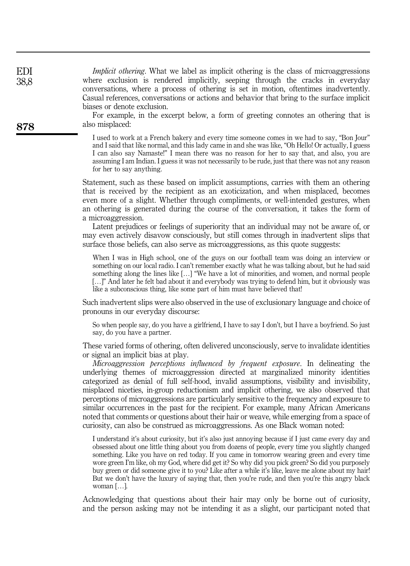| EDI<br>38,8<br>878 | <i>Implicit othering</i> . What we label as implicit othering is the class of microaggressions<br>where exclusion is rendered implicitly, seeping through the cracks in everyday<br>conversations, where a process of othering is set in motion, oftentimes inadvertently.<br>Casual references, conversations or actions and behavior that bring to the surface implicit<br>biases or denote exclusion.<br>For example, in the excerpt below, a form of greeting connotes an othering that is<br>also misplaced:                                                                                                                                             |
|--------------------|---------------------------------------------------------------------------------------------------------------------------------------------------------------------------------------------------------------------------------------------------------------------------------------------------------------------------------------------------------------------------------------------------------------------------------------------------------------------------------------------------------------------------------------------------------------------------------------------------------------------------------------------------------------|
|                    | I used to work at a French bakery and every time someone comes in we had to say, "Bon Jour"<br>and I said that like normal, and this lady came in and she was like, "Oh Hello! Or actually, I guess<br>I can also say Namaste!" I mean there was no reason for her to say that, and also, you are<br>assuming I am Indian. I guess it was not necessarily to be rude, just that there was not any reason<br>for her to say anything.                                                                                                                                                                                                                          |
|                    | Statement, such as these based on implicit assumptions, carries with them an othering<br>that is received by the recipient as an exoticization, and when misplaced, becomes<br>even more of a slight. Whether through compliments, or well-intended gestures, when<br>an othering is generated during the course of the conversation, it takes the form of<br>a microaggression.<br>Latent prejudices or feelings of superiority that an individual may not be aware of, or<br>may even actively disavow consciously, but still comes through in inadvertent slips that<br>surface those beliefs, can also serve as microaggressions, as this quote suggests: |
|                    | When I was in High school, one of the guys on our football team was doing an interview or<br>something on our local radio. I can't remember exactly what he was talking about, but he had said<br>something along the lines like [] "We have a lot of minorities, and women, and normal people<br>[]" And later he felt bad about it and everybody was trying to defend him, but it obviously was<br>like a subconscious thing, like some part of him must have believed that!                                                                                                                                                                                |

EDI

Such inadvertent slips were also observed in the use of exclusionary language and choice of pronouns in our everyday discourse:

So when people say, do you have a girlfriend, I have to say I don't, but I have a boyfriend. So just say, do you have a partner.

These varied forms of othering, often delivered unconsciously, serve to invalidate identities or signal an implicit bias at play.

Microaggression perceptions influenced by frequent exposure. In delineating the underlying themes of microaggression directed at marginalized minority identities categorized as denial of full self-hood, invalid assumptions, visibility and invisibility, misplaced niceties, in-group reductionism and implicit othering, we also observed that perceptions of microaggressions are particularly sensitive to the frequency and exposure to similar occurrences in the past for the recipient. For example, many African Americans noted that comments or questions about their hair or weave, while emerging from a space of curiosity, can also be construed as microaggressions. As one Black woman noted:

I understand it's about curiosity, but it's also just annoying because if I just came every day and obsessed about one little thing about you from dozens of people, every time you slightly changed something. Like you have on red today. If you came in tomorrow wearing green and every time wore green I'm like, oh my God, where did get it? So why did you pick green? So did you purposely buy green or did someone give it to you? Like after a while it's like, leave me alone about my hair! But we don't have the luxury of saying that, then you're rude, and then you're this angry black woman […].

Acknowledging that questions about their hair may only be borne out of curiosity, and the person asking may not be intending it as a slight, our participant noted that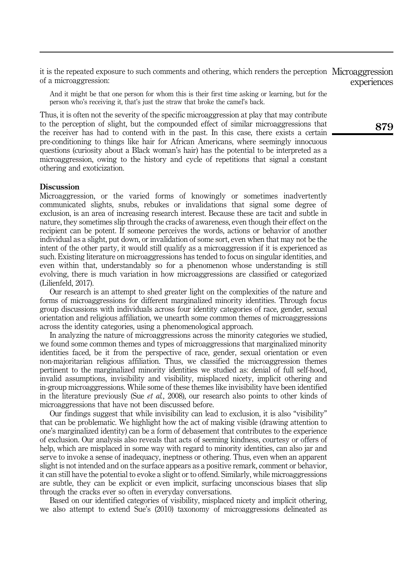it is the repeated exposure to such comments and othering, which renders the perception Microaggression of a microaggression: experiences

And it might be that one person for whom this is their first time asking or learning, but for the person who's receiving it, that's just the straw that broke the camel's back.

Thus, it is often not the severity of the specific microaggression at play that may contribute to the perception of slight, but the compounded effect of similar microaggressions that the receiver has had to contend with in the past. In this case, there exists a certain pre-conditioning to things like hair for African Americans, where seemingly innocuous questions (curiosity about a Black woman's hair) has the potential to be interpreted as a microaggression, owing to the history and cycle of repetitions that signal a constant othering and exoticization.

## **Discussion**

Microaggression, or the varied forms of knowingly or sometimes inadvertently communicated slights, snubs, rebukes or invalidations that signal some degree of exclusion, is an area of increasing research interest. Because these are tacit and subtle in nature, they sometimes slip through the cracks of awareness, even though their effect on the recipient can be potent. If someone perceives the words, actions or behavior of another individual as a slight, put down, or invalidation of some sort, even when that may not be the intent of the other party, it would still qualify as a microaggression if it is experienced as such. Existing literature on microaggressions has tended to focus on singular identities, and even within that, understandably so for a phenomenon whose understanding is still evolving, there is much variation in how microaggressions are classified or categorized (Lilienfeld, 2017).

Our research is an attempt to shed greater light on the complexities of the nature and forms of microaggressions for different marginalized minority identities. Through focus group discussions with individuals across four identity categories of race, gender, sexual orientation and religious affiliation, we unearth some common themes of microaggressions across the identity categories, using a phenomenological approach.

In analyzing the nature of microaggressions across the minority categories we studied, we found some common themes and types of microaggressions that marginalized minority identities faced, be it from the perspective of race, gender, sexual orientation or even non-majoritarian religious affiliation. Thus, we classified the microaggression themes pertinent to the marginalized minority identities we studied as: denial of full self-hood, invalid assumptions, invisibility and visibility, misplaced nicety, implicit othering and in-group microaggressions. While some of these themes like invisibility have been identified in the literature previously (Sue *et al.*, 2008), our research also points to other kinds of microaggressions that have not been discussed before.

Our findings suggest that while invisibility can lead to exclusion, it is also "visibility" that can be problematic. We highlight how the act of making visible (drawing attention to one's marginalized identity) can be a form of debasement that contributes to the experience of exclusion. Our analysis also reveals that acts of seeming kindness, courtesy or offers of help, which are misplaced in some way with regard to minority identities, can also jar and serve to invoke a sense of inadequacy, ineptness or othering. Thus, even when an apparent slight is not intended and on the surface appears as a positive remark, comment or behavior, it can still have the potential to evoke a slight or to offend. Similarly, while microaggressions are subtle, they can be explicit or even implicit, surfacing unconscious biases that slip through the cracks ever so often in everyday conversations.

Based on our identified categories of visibility, misplaced nicety and implicit othering, we also attempt to extend Sue's (2010) taxonomy of microaggressions delineated as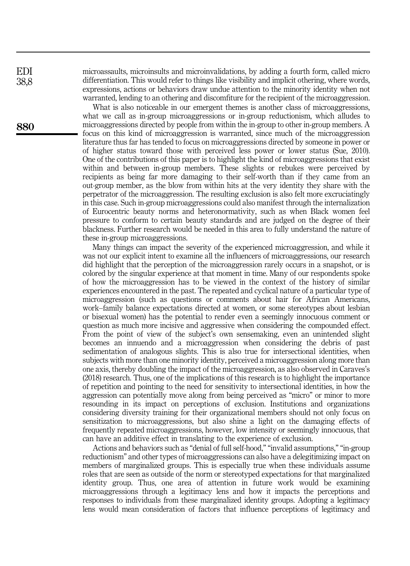microassaults, microinsults and microinvalidations, by adding a fourth form, called micro differentiation. This would refer to things like visibility and implicit othering, where words, expressions, actions or behaviors draw undue attention to the minority identity when not warranted, lending to an othering and discomfiture for the recipient of the microaggression.

What is also noticeable in our emergent themes is another class of microaggressions, what we call as in-group microaggressions or in-group reductionism, which alludes to microaggressions directed by people from within the in-group to other in-group members. A focus on this kind of microaggression is warranted, since much of the microaggression literature thus far has tended to focus on microaggressions directed by someone in power or of higher status toward those with perceived less power or lower status (Sue, 2010). One of the contributions of this paper is to highlight the kind of microaggressions that exist within and between in-group members. These slights or rebukes were perceived by recipients as being far more damaging to their self-worth than if they came from an out-group member, as the blow from within hits at the very identity they share with the perpetrator of the microaggression. The resulting exclusion is also felt more excruciatingly in this case. Such in-group microaggressions could also manifest through the internalization of Eurocentric beauty norms and heteronormativity, such as when Black women feel pressure to conform to certain beauty standards and are judged on the degree of their blackness. Further research would be needed in this area to fully understand the nature of these in-group microaggressions.

Many things can impact the severity of the experienced microaggression, and while it was not our explicit intent to examine all the influencers of microaggressions, our research did highlight that the perception of the microaggression rarely occurs in a snapshot, or is colored by the singular experience at that moment in time. Many of our respondents spoke of how the microaggression has to be viewed in the context of the history of similar experiences encountered in the past. The repeated and cyclical nature of a particular type of microaggression (such as questions or comments about hair for African Americans, work–family balance expectations directed at women, or some stereotypes about lesbian or bisexual women) has the potential to render even a seemingly innocuous comment or question as much more incisive and aggressive when considering the compounded effect. From the point of view of the subject's own sensemaking, even an unintended slight becomes an innuendo and a microaggression when considering the debris of past sedimentation of analogous slights. This is also true for intersectional identities, when subjects with more than one minority identity, perceived a microaggression along more than one axis, thereby doubling the impact of the microaggression, as also observed in Caraves's (2018) research. Thus, one of the implications of this research is to highlight the importance of repetition and pointing to the need for sensitivity to intersectional identities, in how the aggression can potentially move along from being perceived as "micro" or minor to more resounding in its impact on perceptions of exclusion. Institutions and organizations considering diversity training for their organizational members should not only focus on sensitization to microaggressions, but also shine a light on the damaging effects of frequently repeated microaggressions, however, low intensity or seemingly innocuous, that can have an additive effect in translating to the experience of exclusion.

Actions and behaviors such as "denial of full self-hood," "invalid assumptions," "in-group reductionism" and other types of microaggressions can also have a delegitimizing impact on members of marginalized groups. This is especially true when these individuals assume roles that are seen as outside of the norm or stereotyped expectations for that marginalized identity group. Thus, one area of attention in future work would be examining microaggressions through a legitimacy lens and how it impacts the perceptions and responses to individuals from these marginalized identity groups. Adopting a legitimacy lens would mean consideration of factors that influence perceptions of legitimacy and

880

EDI 38,8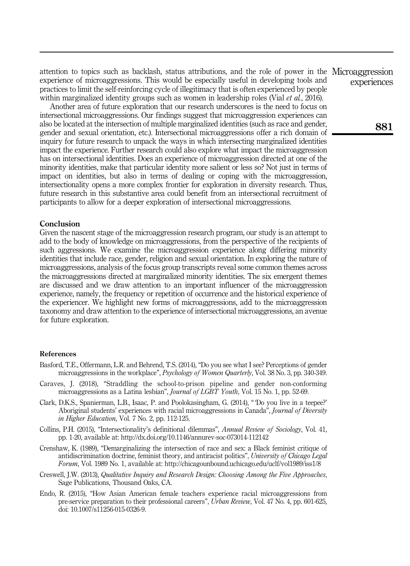attention to topics such as backlash, status attributions, and the role of power in the Microaggression experience of microaggressions. This would be especially useful in developing tools and practices to limit the self-reinforcing cycle of illegitimacy that is often experienced by people within marginalized identity groups such as women in leadership roles (Vial *et al.*, 2016).

Another area of future exploration that our research underscores is the need to focus on intersectional microaggressions. Our findings suggest that microaggression experiences can also be located at the intersection of multiple marginalized identities (such as race and gender, gender and sexual orientation, etc.). Intersectional microaggressions offer a rich domain of inquiry for future research to unpack the ways in which intersecting marginalized identities impact the experience. Further research could also explore what impact the microaggression has on intersectional identities. Does an experience of microaggression directed at one of the minority identities, make that particular identity more salient or less so? Not just in terms of impact on identities, but also in terms of dealing or coping with the microaggression, intersectionality opens a more complex frontier for exploration in diversity research. Thus, future research in this substantive area could benefit from an intersectional recruitment of participants to allow for a deeper exploration of intersectional microaggressions.

# **Conclusion**

Given the nascent stage of the microaggression research program, our study is an attempt to add to the body of knowledge on microaggressions, from the perspective of the recipients of such aggressions. We examine the microaggression experience along differing minority identities that include race, gender, religion and sexual orientation. In exploring the nature of microaggressions, analysis of the focus group transcripts reveal some common themes across the microaggressions directed at marginalized minority identities. The six emergent themes are discussed and we draw attention to an important influencer of the microaggression experience, namely, the frequency or repetition of occurrence and the historical experience of the experiencer. We highlight new forms of microaggressions, add to the microaggression taxonomy and draw attention to the experience of intersectional microaggressions, an avenue for future exploration.

## References

- Basford, T.E., Offermann, L.R. and Behrend, T.S. (2014), "Do you see what I see? Perceptions of gender microaggressions in the workplace", Psychology of Women Quarterly, Vol. 38 No. 3, pp. 340-349.
- Caraves, J. (2018), "Straddling the school-to-prison pipeline and gender non-conforming microaggressions as a Latina lesbian", Journal of LGBT Youth, Vol. 15 No. 1, pp. 52-69.
- Clark, D.K.S., Spanierman, L.B., Isaac, P. and Poolokasingham, G. (2014), " 'Do you live in a teepee?' Aboriginal students' experiences with racial microaggressions in Canada", Journal of Diversity in Higher Education, Vol. 7 No. 2, pp. 112-125.
- Collins, P.H. (2015), "Intersectionality's definitional dilemmas", Annual Review of Sociology, Vol. 41, pp. 1-20, available at:<http://dx.doi.org/10.1146/annurev-soc-073014-112142>
- Crenshaw, K. (1989), "Demarginalizing the intersection of race and sex: a Black feminist critique of antidiscrimination doctrine, feminist theory, and antiracist politics", University of Chicago Legal Forum, Vol. 1989 No. 1, available at:<http://chicagounbound.uchicago.edu/uclf/vol1989/iss1/8>
- Creswell, J.W. (2013), Qualitative Inquiry and Research Design: Choosing Among the Five Approaches, Sage Publications, Thousand Oaks, CA.
- Endo, R. (2015), "How Asian American female teachers experience racial microaggressions from pre-service preparation to their professional careers", Urban Review, Vol. 47 No. 4, pp. 601-625, doi: 10.1007/s11256-015-0326-9.

experiences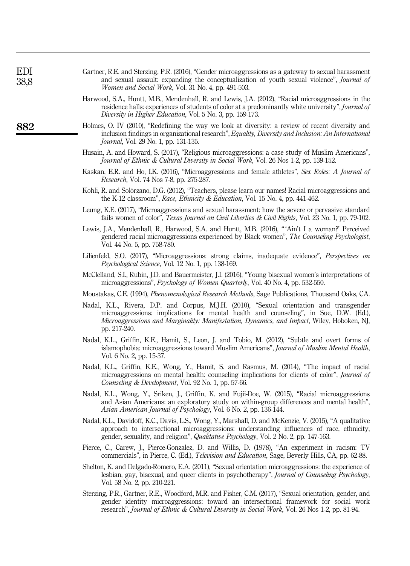| EDI<br>38,8 | Gartner, R.E. and Sterzing, P.R. (2016), "Gender microaggressions as a gateway to sexual harassment<br>and sexual assault: expanding the conceptualization of youth sexual violence", <i>Journal of</i><br><i>Women and Social Work, Vol. 31 No. 4, pp. 491-503.</i>                             |
|-------------|--------------------------------------------------------------------------------------------------------------------------------------------------------------------------------------------------------------------------------------------------------------------------------------------------|
|             | Harwood, S.A., Huntt, M.B., Mendenhall, R. and Lewis, J.A. (2012), "Racial microaggressions in the<br>residence halls: experiences of students of color at a predominantly white university", <i>Journal of</i><br>Diversity in Higher Education, Vol. 5 No. 3, pp. 159-173.                     |
| 882         | Holmes, O. IV (2010), "Redefining the way we look at diversity: a review of recent diversity and<br>inclusion findings in organizational research", Equality, Diversity and Inclusion: An International<br><i>Journal</i> , Vol. 29 No. 1, pp. 131-135.                                          |
|             | Husain, A. and Howard, S. (2017), "Religious microaggressions: a case study of Muslim Americans",<br>Journal of Ethnic & Cultural Diversity in Social Work, Vol. 26 Nos 1-2, pp. 139-152.                                                                                                        |
|             | Kaskan, E.R. and Ho, I.K. (2016), "Microaggressions and female athletes", Sex Roles: A Journal of<br><i>Research</i> , Vol. 74 Nos 7-8, pp. 275-287.                                                                                                                                             |
|             | Kohli, R. and Solórzano, D.G. (2012), "Teachers, please learn our names! Racial microaggressions and<br>the K-12 classroom", Race, Ethnicity & Education, Vol. 15 No. 4, pp. 441-462.                                                                                                            |
|             | Leung, K.E. (2017), "Microaggressions and sexual harassment: how the severe or pervasive standard<br>fails women of color", Texas Journal on Civil Liberties & Civil Rights, Vol. 23 No. 1, pp. 79-102.                                                                                          |
|             | Lewis, J.A., Mendenhall, R., Harwood, S.A. and Huntt, M.B. (2016), "'Ain't I a woman?' Perceived<br>gendered racial microaggressions experienced by Black women", The Counseling Psychologist,<br>Vol. 44 No. 5, pp. 758-780.                                                                    |
|             | Lilienfeld, S.O. (2017), "Microaggressions: strong claims, inadequate evidence", <i>Perspectives on</i><br><i>Psychological Science, Vol. 12 No. 1, pp. 138-169.</i>                                                                                                                             |
|             | McClelland, S.I., Rubin, J.D. and Bauermeister, J.I. (2016), "Young bisexual women's interpretations of<br>microaggressions", <i>Psychology of Women Quarterly</i> , Vol. 40 No. 4, pp. 532-550.                                                                                                 |
|             | Moustakas, C.E. (1994), Phenomenological Research Methods, Sage Publications, Thousand Oaks, CA.                                                                                                                                                                                                 |
|             | Nadal, K.L., Rivera, D.P. and Corpus, M.J.H. (2010), "Sexual orientation and transgender<br>microaggressions: implications for mental health and counseling", in Sue, D.W. (Ed.),<br>Microaggressions and Marginality: Manifestation, Dynamics, and Impact, Wiley, Hoboken, NJ,<br>pp. 217-240.  |
|             | Nadal, K.L., Griffin, K.E., Hamit, S., Leon, J. and Tobio, M. (2012), "Subtle and overt forms of<br>islamophobia: microaggressions toward Muslim Americans", Journal of Muslim Mental Health,<br>Vol. 6 No. 2, pp. 15-37.                                                                        |
|             | Nadal, K.L., Griffin, K.E., Wong, Y., Hamit, S. and Rasmus, M. (2014), "The impact of racial<br>microaggressions on mental health: counseling implications for clients of color", Journal of<br>Counseling & Development, Vol. 92 No. 1, pp. 57-66.                                              |
|             | Nadal, K.L., Wong, Y., Sriken, J., Griffin, K. and Fujii-Doe, W. (2015), "Racial microaggressions<br>and Asian Americans: an exploratory study on within-group differences and mental health",<br>Asian American Journal of Psychology, Vol. 6 No. 2, pp. 136-144.                               |
|             | Nadal, K.L., Davidoff, K.C., Davis, L.S., Wong, Y., Marshall, D. and McKenzie, V. (2015), "A qualitative<br>approach to intersectional microaggressions: understanding influences of race, ethnicity,<br>gender, sexuality, and religion", Qualitative Psychology, Vol. 2 No. 2, pp. 147-163.    |
|             | Pierce, C., Carew, J., Pierce-Gonzalez, D. and Willis, D. (1978), "An experiment in racism: TV<br>commercials", in Pierce, C. (Ed.), <i>Television and Education</i> , Sage, Beverly Hills, CA, pp. 62-88.                                                                                       |
|             | Shelton, K. and Delgado-Romero, E.A. (2011), "Sexual orientation microaggressions: the experience of<br>lesbian, gay, bisexual, and queer clients in psychotherapy", Journal of Counseling Psychology,<br>Vol. 58 No. 2, pp. 210-221.                                                            |
|             | Sterzing, P.R., Gartner, R.E., Woodford, M.R. and Fisher, C.M. (2017), "Sexual orientation, gender, and<br>gender identity microaggressions: toward an intersectional framework for social work<br>research", Journal of Ethnic & Cultural Diversity in Social Work, Vol. 26 Nos 1-2, pp. 81-94. |